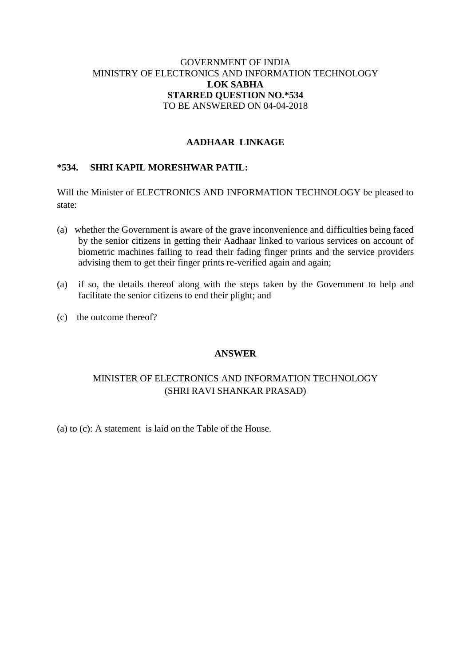## GOVERNMENT OF INDIA MINISTRY OF ELECTRONICS AND INFORMATION TECHNOLOGY **LOK SABHA STARRED QUESTION NO.\*534** TO BE ANSWERED ON 04-04-2018

## **AADHAAR LINKAGE**

#### **\*534. SHRI KAPIL MORESHWAR PATIL:**

Will the Minister of ELECTRONICS AND INFORMATION TECHNOLOGY be pleased to state:

- (a) whether the Government is aware of the grave inconvenience and difficulties being faced by the senior citizens in getting their Aadhaar linked to various services on account of biometric machines failing to read their fading finger prints and the service providers advising them to get their finger prints re-verified again and again;
- (a) if so, the details thereof along with the steps taken by the Government to help and facilitate the senior citizens to end their plight; and
- (c) the outcome thereof?

#### **ANSWER**

# MINISTER OF ELECTRONICS AND INFORMATION TECHNOLOGY (SHRI RAVI SHANKAR PRASAD)

(a) to (c): A statement is laid on the Table of the House.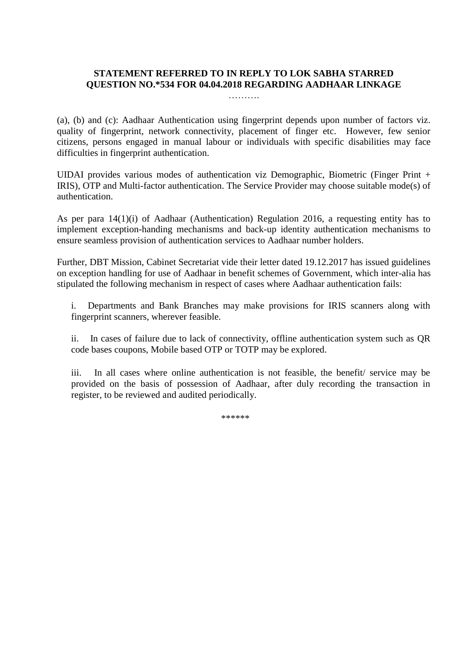## **STATEMENT REFERRED TO IN REPLY TO LOK SABHA STARRED QUESTION NO.\*534 FOR 04.04.2018 REGARDING AADHAAR LINKAGE**

…………

(a), (b) and (c): Aadhaar Authentication using fingerprint depends upon number of factors viz. quality of fingerprint, network connectivity, placement of finger etc. However, few senior citizens, persons engaged in manual labour or individuals with specific disabilities may face difficulties in fingerprint authentication.

UIDAI provides various modes of authentication viz Demographic, Biometric (Finger Print + IRIS), OTP and Multi-factor authentication. The Service Provider may choose suitable mode(s) of authentication.

As per para 14(1)(i) of Aadhaar (Authentication) Regulation 2016, a requesting entity has to implement exception-handing mechanisms and back-up identity authentication mechanisms to ensure seamless provision of authentication services to Aadhaar number holders.

Further, DBT Mission, Cabinet Secretariat vide their letter dated 19.12.2017 has issued guidelines on exception handling for use of Aadhaar in benefit schemes of Government, which inter-alia has stipulated the following mechanism in respect of cases where Aadhaar authentication fails:

i. Departments and Bank Branches may make provisions for IRIS scanners along with fingerprint scanners, wherever feasible.

ii. In cases of failure due to lack of connectivity, offline authentication system such as QR code bases coupons, Mobile based OTP or TOTP may be explored.

iii. In all cases where online authentication is not feasible, the benefit/ service may be provided on the basis of possession of Aadhaar, after duly recording the transaction in register, to be reviewed and audited periodically.

\*\*\*\*\*\*